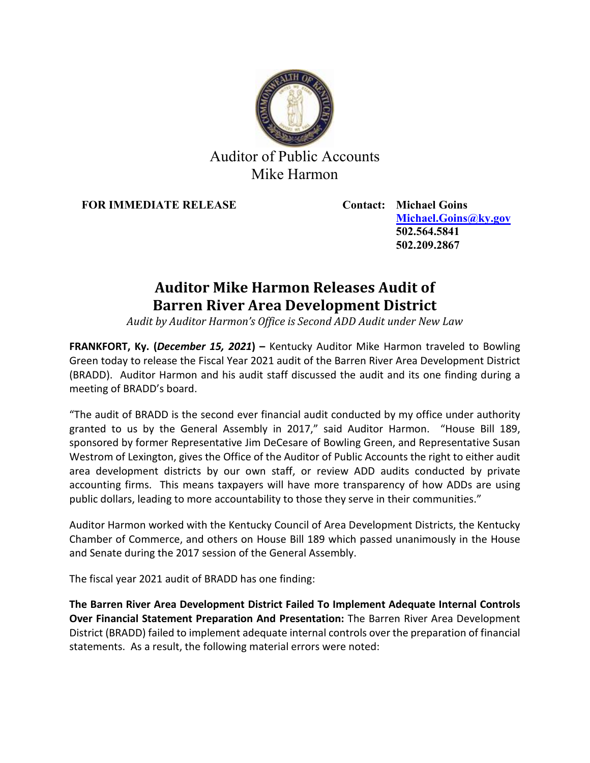

## Auditor of Public Accounts Mike Harmon

**FOR IMMEDIATE RELEASE Contact: Michael Goins**

**[Michael.Goins@ky.gov](mailto:Michael.Goins@ky.gov) 502.564.5841 502.209.2867**

# **Auditor Mike Harmon Releases Audit of Barren River Area Development District**

*Audit by Auditor Harmon's Office is Second ADD Audit under New Law*

**FRANKFORT, Ky. (***December 15, 2021***) –** Kentucky Auditor Mike Harmon traveled to Bowling Green today to release the Fiscal Year 2021 audit of the Barren River Area Development District (BRADD). Auditor Harmon and his audit staff discussed the audit and its one finding during a meeting of BRADD's board.

"The audit of BRADD is the second ever financial audit conducted by my office under authority granted to us by the General Assembly in 2017," said Auditor Harmon. "House Bill 189, sponsored by former Representative Jim DeCesare of Bowling Green, and Representative Susan Westrom of Lexington, gives the Office of the Auditor of Public Accounts the right to either audit area development districts by our own staff, or review ADD audits conducted by private accounting firms. This means taxpayers will have more transparency of how ADDs are using public dollars, leading to more accountability to those they serve in their communities."

Auditor Harmon worked with the Kentucky Council of Area Development Districts, the Kentucky Chamber of Commerce, and others on House Bill 189 which passed unanimously in the House and Senate during the 2017 session of the General Assembly.

The fiscal year 2021 audit of BRADD has one finding:

**The Barren River Area Development District Failed To Implement Adequate Internal Controls Over Financial Statement Preparation And Presentation:** The Barren River Area Development District (BRADD) failed to implement adequate internal controls over the preparation of financial statements. As a result, the following material errors were noted: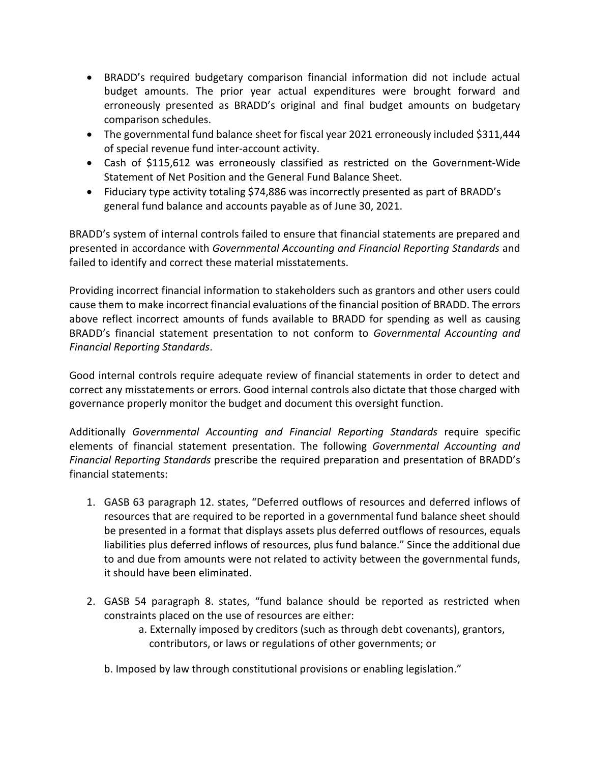- BRADD's required budgetary comparison financial information did not include actual budget amounts. The prior year actual expenditures were brought forward and erroneously presented as BRADD's original and final budget amounts on budgetary comparison schedules.
- The governmental fund balance sheet for fiscal year 2021 erroneously included \$311,444 of special revenue fund inter-account activity.
- Cash of \$115,612 was erroneously classified as restricted on the Government-Wide Statement of Net Position and the General Fund Balance Sheet.
- Fiduciary type activity totaling \$74,886 was incorrectly presented as part of BRADD's general fund balance and accounts payable as of June 30, 2021.

BRADD's system of internal controls failed to ensure that financial statements are prepared and presented in accordance with *Governmental Accounting and Financial Reporting Standards* and failed to identify and correct these material misstatements.

Providing incorrect financial information to stakeholders such as grantors and other users could cause them to make incorrect financial evaluations of the financial position of BRADD. The errors above reflect incorrect amounts of funds available to BRADD for spending as well as causing BRADD's financial statement presentation to not conform to *Governmental Accounting and Financial Reporting Standards*.

Good internal controls require adequate review of financial statements in order to detect and correct any misstatements or errors. Good internal controls also dictate that those charged with governance properly monitor the budget and document this oversight function.

Additionally *Governmental Accounting and Financial Reporting Standards* require specific elements of financial statement presentation. The following *Governmental Accounting and Financial Reporting Standards* prescribe the required preparation and presentation of BRADD's financial statements:

- 1. GASB 63 paragraph 12. states, "Deferred outflows of resources and deferred inflows of resources that are required to be reported in a governmental fund balance sheet should be presented in a format that displays assets plus deferred outflows of resources, equals liabilities plus deferred inflows of resources, plus fund balance." Since the additional due to and due from amounts were not related to activity between the governmental funds, it should have been eliminated.
- 2. GASB 54 paragraph 8. states, "fund balance should be reported as restricted when constraints placed on the use of resources are either:
	- a. Externally imposed by creditors (such as through debt covenants), grantors, contributors, or laws or regulations of other governments; or
	- b. Imposed by law through constitutional provisions or enabling legislation."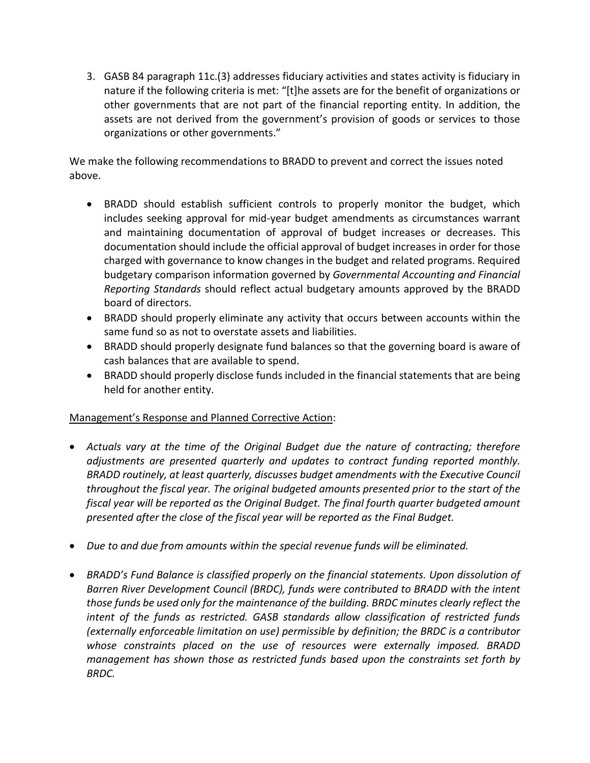3. GASB 84 paragraph 11c.(3) addresses fiduciary activities and states activity is fiduciary in nature if the following criteria is met: "[t]he assets are for the benefit of organizations or other governments that are not part of the financial reporting entity. In addition, the assets are not derived from the government's provision of goods or services to those organizations or other governments."

We make the following recommendations to BRADD to prevent and correct the issues noted above.

- BRADD should establish sufficient controls to properly monitor the budget, which includes seeking approval for mid-year budget amendments as circumstances warrant and maintaining documentation of approval of budget increases or decreases. This documentation should include the official approval of budget increases in order for those charged with governance to know changes in the budget and related programs. Required budgetary comparison information governed by *Governmental Accounting and Financial Reporting Standards* should reflect actual budgetary amounts approved by the BRADD board of directors.
- BRADD should properly eliminate any activity that occurs between accounts within the same fund so as not to overstate assets and liabilities.
- BRADD should properly designate fund balances so that the governing board is aware of cash balances that are available to spend.
- BRADD should properly disclose funds included in the financial statements that are being held for another entity.

## Management's Response and Planned Corrective Action:

- *Actuals vary at the time of the Original Budget due the nature of contracting; therefore adjustments are presented quarterly and updates to contract funding reported monthly. BRADD routinely, at least quarterly, discusses budget amendments with the Executive Council throughout the fiscal year. The original budgeted amounts presented prior to the start of the fiscal year will be reported as the Original Budget. The final fourth quarter budgeted amount presented after the close of the fiscal year will be reported as the Final Budget.*
- *Due to and due from amounts within the special revenue funds will be eliminated.*
- *BRADD's Fund Balance is classified properly on the financial statements. Upon dissolution of Barren River Development Council (BRDC), funds were contributed to BRADD with the intent those funds be used only for the maintenance of the building. BRDC minutes clearly reflect the intent of the funds as restricted. GASB standards allow classification of restricted funds (externally enforceable limitation on use) permissible by definition; the BRDC is a contributor whose constraints placed on the use of resources were externally imposed. BRADD management has shown those as restricted funds based upon the constraints set forth by BRDC.*